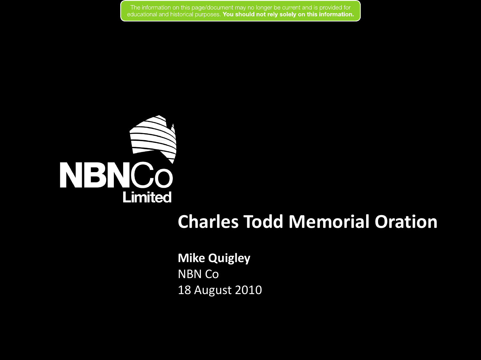

### **Charles Todd Memorial Oration**

**Mike Quigley** NBN Co 18 August 2010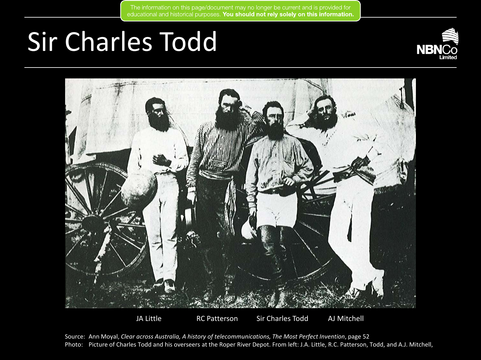# Sir Charles Todd





JA Little RC Patterson Sir Charles Todd AJ Mitchell

Source: Ann Moyal, *Clear across Australia, A history of telecommunications, The Most Perfect Invention*, page 52 Photo: Picture of Charles Todd and his overseers at the Roper River Depot. From left: J.A. Little, R.C. Patterson, Todd, and A.J. Mitchell,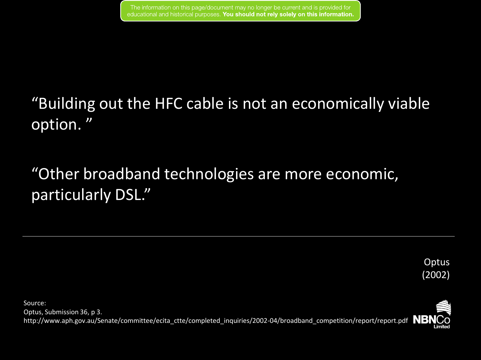## "Building out the HFC cable is not an economically viable option. "

"Other broadband technologies are more economic, particularly DSL."

> **Optus** (2002)

Source: Optus, Submission 36, p 3. http://www.aph.gov.au/Senate/committee/ecita\_ctte/completed\_inquiries/2002-04/broadband\_competition/report/report.pdf NBNCO

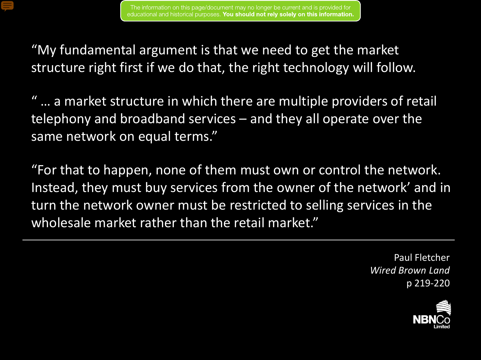

"My fundamental argument is that we need to get the market structure right first if we do that, the right technology will follow.

" … a market structure in which there are multiple providers of retail telephony and broadband services – and they all operate over the same network on equal terms."

"For that to happen, none of them must own or control the network. Instead, they must buy services from the owner of the network' and in turn the network owner must be restricted to selling services in the wholesale market rather than the retail market."

> Paul Fletcher *Wired Brown Land*  p 219-220

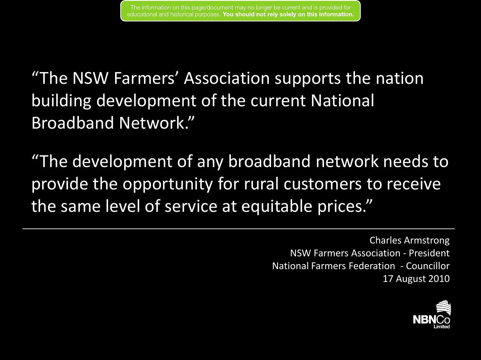"The NSW Farmers' Association supports the nation building development of the current National Broadband Network."

"The development of any broadband network needs to provide the opportunity for rural customers to receive the same level of service at equitable prices."

> Charles Armstrong NSW Farmers Association - President National Farmers Federation - Councillor 17 August 2010

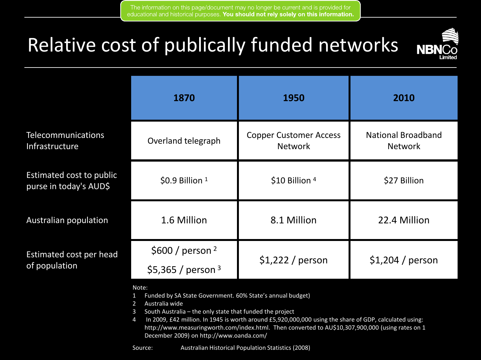

|                                                    | 1870                                                | 1950                                            | 2010                                        |
|----------------------------------------------------|-----------------------------------------------------|-------------------------------------------------|---------------------------------------------|
| <b>Telecommunications</b><br>Infrastructure        | Overland telegraph                                  | <b>Copper Customer Access</b><br><b>Network</b> | <b>National Broadband</b><br><b>Network</b> |
| Estimated cost to public<br>purse in today's AUD\$ | $$0.9$ Billion $1$                                  | \$10 Billion 4                                  | \$27 Billion                                |
| <b>Australian population</b>                       | 1.6 Million                                         | 8.1 Million                                     | 22.4 Million                                |
| Estimated cost per head<br>of population           | \$600 / person <sup>2</sup><br>\$5,365 / person $3$ | $$1,222$ / person                               | $$1,204$ / person                           |

Note:

- 1 Funded by SA State Government. 60% State's annual budget)
- 2 Australia wide
- 3 South Australia the only state that funded the project
- 4 In 2009, £42 million. In 1945 is worth around £5,920,000,000 using the share of GDP, calculated using: http://www.measuringworth.com/index.html. Then converted to AU\$10,307,900,000 (using rates on 1 December 2009) on http://www.oanda.com/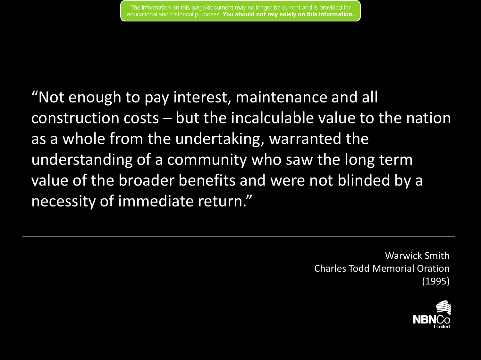"Not enough to pay interest, maintenance and all construction costs – but the incalculable value to the nation as a whole from the undertaking, warranted the understanding of a community who saw the long term value of the broader benefits and were not blinded by a necessity of immediate return."

> Warwick Smith Charles Todd Memorial Oration (1995)

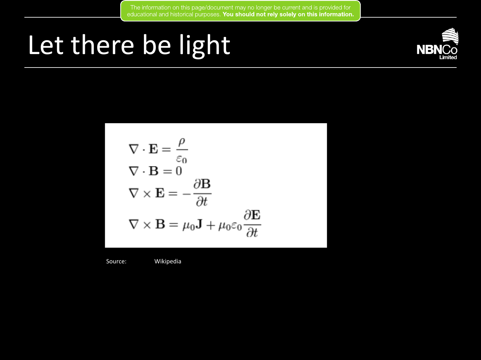# Let there be light



$$
\nabla \cdot \mathbf{E} = \frac{\rho}{\varepsilon_0}
$$
  
\n
$$
\nabla \cdot \mathbf{B} = 0
$$
  
\n
$$
\nabla \times \mathbf{E} = -\frac{\partial \mathbf{B}}{\partial t}
$$
  
\n
$$
\nabla \times \mathbf{B} = \mu_0 \mathbf{J} + \mu_0 \varepsilon_0 \frac{\partial \mathbf{E}}{\partial t}
$$

Source: Wikipedia